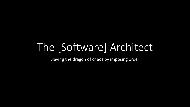# The [Software] Architect

Slaying the dragon of chaos by imposing order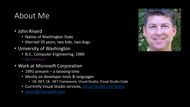#### About Me

- John Rivard
	- Native of Washington State
	- Married 29 years, two kids, two dogs
- University of Washington
	- B.S., Computer Engineering, 1989
	- Go Huskies!
- Work at Microsoft Corporation
	- 1991-present a *loooong* time
	- Mostly on developer tools & languages
		- VB .NET, C#, .NET Framework, Visual Studio, Visual Studio Code
	- Currently Visual Studio services, [Visual Studio Live Share](https://visualstudio.microsoft.com/services/live-share/)
	- [johnri@microsoft.com](mailto:johnri@microsoft.com)

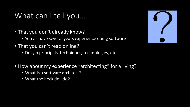#### What can I tell you…

- That you don't already know?
	- You all have several years experience doing software
- That you can't read online?
	- Design principals, techniques, technologies, etc.
- How about my experience "architecting" for a living?
	- What is a software architect?
	- What the heck do I do?

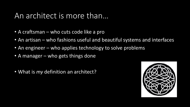#### An architect is more than…

- A craftsman who cuts code like a pro
- An artisan who fashions useful and beautiful systems and interfaces
- An engineer who applies technology to solve problems
- A manager who gets things done
- What is *my* definition an architect?

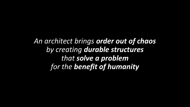*An architect brings order out of chaos by creating durable structures that solve a problem for the benefit of humanity*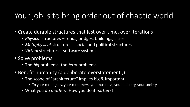## Your job is to bring order out of chaotic world

- Create durable structures that last over time, over iterations
	- *Physical* structures roads, bridges, buildings, cities
	- *Metaphysical* structures social and political structures
	- *Virtual* structures software systems
- Solve problems
	- The *big* problems, the *hard* problems
- Benefit humanity (a deliberate overstatement ;)
	- The scope of "architecture" implies big & important
		- To your colleagues, your customers, your business, your industry, your society
	- What you do *matters*! How you do it *matters*!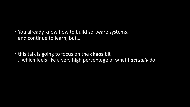- You already know how to build software systems, and continue to learn, but…
- this talk is going to focus on the **chaos** bit …which feels like a very high percentage of what I *actually* do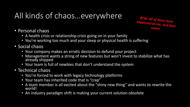# All kinds of chaos…everywhere

BTW: All of these have<br>happened to me, and then

- Personal chaos
	- A health crisis or relationship crisis going on in your family
	- You're working too much and your sleep or physical health is suffering
- Social chaos
	- Your company makes an erratic decision to defund your project
	- Management wants a string of new features but won't invest to stabilize what has already shipped
	- Your team is full of newbies that don't understand the system
- Technical chaos
	- You're forced to work with legacy technology platforms
	- Your team has inherited code that is "crap"
	- A team member is all excited about the "shiny new thing" and wants to rewrite the world!
	- An industry paradigm shift is making your current solution obsolete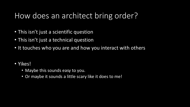#### How does an architect bring order?

- This isn't just a scientific question
- This isn't just a technical question
- It touches who you are and how you interact with others
- Yikes!
	- Maybe this sounds easy to you.
	- Or maybe it sounds a little scary like it does to me!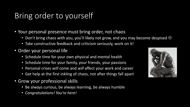# Bring order to yourself

- Your personal presence must bring order, not chaos
	- Don't bring chaos with you, you'll likely not grow, and you may become despised  $\odot$
	- Take constructive feedback and criticism seriously, work on it!
- Order your personal life
	- Schedule time for your own physical and mental health
	- Schedule time for your family, your friends, your passions
	- Personal crises *will* come and *will* affect your work and career
	- Get help at the first inkling of chaos, not after things fall apart
- Grow your professional skills
	- Be always curious, be always learning, be always humble
	- *Congratulations! You're here!*

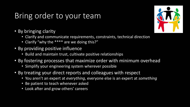## Bring order to your team

- By bringing clarity
	- Clarify and communicate requirements, constraints, technical direction
	- Clarify "why the \*\*\*\* are we doing this?"
- By providing positive influence
	- Build and maintain trust, cultivate positive relationships
- By fostering processes that maximize order with minimum overhead
	- Simplify your engineering system wherever possible
- By treating your direct reports and colleagues with respect
	- You aren't an expert at *everything*, everyone else is an expert at *something*
	- Be patient to teach whenever asked
	- Look after and grow others' careers

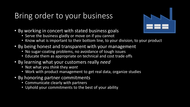## Bring order to your business

- By working in concert with stated business goals
	- Serve the business gladly or move on if you cannot
	- Know what is important to their bottom line, to your division, to your product
- By being honest and transparent with your management
	- No sugar-coating problems, no avoidance of tough issues
	- Educate them as appropriate on technical and cost trade offs
- By learning what your customers really *need*
	- Not what you *think* they *want*
	- Work with product management to get real data, organize studies
- By honoring partner commitments
	- Communicate clearly with partners
	- Uphold your commitments to the best of your ability

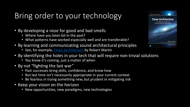# Bring order to your technology

- By developing a nose for good and bad smells
	- Where have you been bit in the past?
	- What patterns have worked especially well and are transferable?
- By learning and communicating sound architectural principles
	- See, for example, [Clean Architecture](https://microsoft-my.sharepoint.com/personal/johnri_microsoft_com/Documents/Desktop/johnri%20desktop%204.rdp) by Robert Martin
- By identifying the holes in your tech that will require non-trivial solutions
	- You know it's coming, just a matter of when
- By not "fighting the last war"
	- Past successes bring skills, confidence, and know how
	- But last time isn't necessarily appropriate in your current context
	- Be fearless in trying something new, but prudent in mitigating risk
- Keep your vision on the horizon
	- New opportunities, new paradigms, new technologies

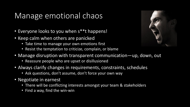## Manage emotional chaos

- Everyone looks to you when s\*\*t happens!
- Keep calm when others are panicked
	- Take time to manage your own emotions first
	- Resist the temptation to criticize, complain, or blame
- Manage disruption with transparent communication—up, down, out
	- Reassure people who are upset or disillusioned
- Always clarify changes in requirements, constraints, schedules
	- Ask questions, don't assume, don't force your own way
- Negotiate in earnest
	- There will be conflicting interests amongst your team & stakeholders
	- Find a way, find the win-win

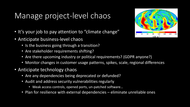## Manage project-level chaos

- It's your job to pay attention to "climate change"
- Anticipate business-level chaos
	- Is the business going through a transition?
	- Are stakeholder requirements shifting?
	- Are there upcoming industry or political requirements? (GDPR anyone?)
	- Monitor changes in customer usage patterns, spikes, scale, regional differences
- Anticipate technology chaos
	- Are any dependencies being deprecated or defunded?
	- Audit and address security vulnerabilities regularly
		- Weak access controls, opened ports, un-patched software…
	- Plan for resilience with external dependencies eliminate unreliable ones

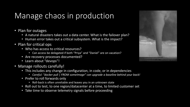## Manage chaos in production

- Plan for outages
	- A natural disasters takes out a data center. What is the failover plan?
	- Human error takes out a critical subsystem. What is the impact?
- Plan for critical ops
	- Who has access to critical resources?
		- Can access be delegated if both "Priya" and "Daniel" are on vacation?
	- Are recovery processes documented?
	- Learn about "devops"!
- Manage rollouts carefully!
	- This includes any change in configuration, in code, or in dependencies
		- *Careful: "docker pull | FROM someImage" can upgrade a baseline behind your back!*
	- Prefer to roll forwards only
		- Roll-back is often unreliable and leaves you in an unknown state
	- Roll out to test, to one region/datacenter at a time, to limited customer set
	- Take time to observe telemetry signals before proceeding

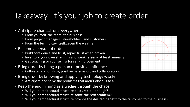# Takeaway: It's your job to create order

- Anticipate chaos...from everywhere
	- From yourself, the team, the business
	- From project managers, stakeholders, and customers
	- From the technology itself…even the weather
- Become a person of order
	- Build confidence and trust, repair trust when broken
	- Inventory your own strengths and weaknesses at least annually
	- Get coaching or counselling for self-improvement
- Bring order by being a person of positive influence
	- Cultivate relationships, positive persuasion, and collaboration
- Bring order by knowing and applying technology wisely
	- Anticipate and solve the problems that aren't obvious to all
- Keep the end in mind as a wedge through the chaos
	- Will your architectural structure be **durable**—enough?
	- Will your architectural structure **solve the** *real* **problem**?
	- Will your architectural structure provide the **desired benefit** to the customer, to the business?